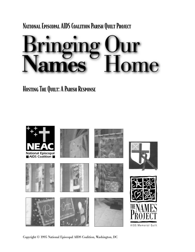National Episcopal AIDS Coalition Parish Quilt Project



HOSTING THE QUILT: A PARISH RESPONSE



Copyright © 1995 National Episcopal AIDS Coalition, Washington, DC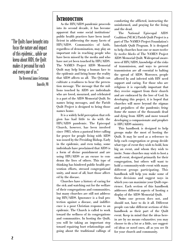"The Quilts have brought into focus the nature and impact of this epidemic… while we knew about AIDS, the Quilt makes it personal for each and every one of us."

The Reverend James Fetterman Danville, PA

### **INTRODUCTION**

As the HIV/AIDS pandemic proceeds into its second decade, it has become apparent that some social institutions' public health practices have been insufficient in addressing the many facets of HIV/AIDS. Communities of faith, regardless of denomination, may play an important role in reaching people who have been missed by the media and who have not yet been touched by HIV/AIDS. The NAMES Project AIDS Memorial Quilt may help bring a human face to the epidemic and bring home the reality that AIDS affects us all. The Quilt can cultivate a readiness to hear the prevention message. The message that the millions touched by AIDS are individuals who are loved, mourned, and celebrated is a part of the AIDS Memorial Quilt. Its names bring messages, and the Parish Quilt Project is designed to bring those names home.

It is a widely held perception that religion has had little to do with the HIV/AIDS pandemic. The Episcopal Church, however, has been involved since 1983, when a pastoral letter calling for prayer for people living with AIDS was issued by the Presiding Bishop. Early in the epidemic, and even today, some individuals have proclaimed that AIDS is a form of divine punishment and are using HIV/AIDS as an excuse to condemn the lives of others. This type of thinking has hindered public health prevention efforts, stressed congregational unity, and most of all, hurt those affected by the disease.

Churches have a history of caring for the sick and watching out for the welfare of their congregations and communities, but many churches are still not addressing HIV/AIDS. Ignorance is a frail protection against a disease, and indifference is a poor Christian response to an epidemic. The Church is called to work toward the wellness of its congregations and communities. In hosting the Quilt, you will be taking an important step toward repairing hurt relationships and going about the traditional callings of

comforting the afflicted, instructing the uninformed, and praying for the living and the dead.

The National Episcopal AIDS Coalition (NEAC) Parish Quilt Project is a part of The NAMES Project Foundation's Interfaith Quilt Program. It is designed to help churches host one or more *twelve by twelve blocks* of The NAMES Project AIDS Memorial Quilt. Widespread awareness of HIV/AIDS, knowledge of the risks of transmission, and ways to prevent transmission are all essential to halting the spread of AIDS. Moreover, people affected by and infected with HIV need support and caring. For those who are religious it is especially important that they receive support from their church and are embraced by the love of God. In developing this project, it is hoped that churches will move beyond the stigmas and prejudices of the pandemic; *bring home the names* of the thousands dead and dying from AIDS; and move toward developing a compassionate and prophetic HIV/AIDS ministry.

This handbook is designed to help groups make the most of hosting the Quilt. It may be used as a reference to help each congregation or group decide what type of event they wish to hold, how big an event, and whom they wish to invite. Some churches may wish to host a small event, designed primarily for their congregation, but others will want to hold a community-wide event with many different groups participating. This handbook will help you make some of these decisions and suggest ways in which you can maximize your Quilt experience. Each section of this handbook addresses different aspects of hosting a display of the AIDS Memorial Quilt.

**Note:** one person does not, and should not, have to do it all. Different people can take different sections of this handbook as their part of the Quilt event. Keep in mind that the ideas herein are by no means exhaustive; you may choose to do a lot or a little, use suggested ideas or novel ones, all as you see fit for your church and community.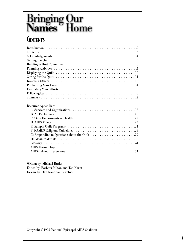# **Bringing Our<br>Names Home**

# **CONTENTS**

| Resource Appendices |
|---------------------|
|                     |
|                     |
|                     |
|                     |
|                     |
|                     |
|                     |
|                     |
|                     |
|                     |
|                     |

Written by: Michael Burke Edited by: Barbara Milton and Ted Karpf Design by: Dan Kaufman Graphics

Copyright ©1995 National Episcopal AIDS Coalition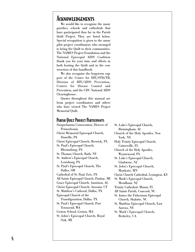### **ACKNOWLEDGEMENTS**

We would like to recognize the many parishes, schools and cathedrals that have participated thus far in the Parish Quilt Project. They are listed below. Special recognition is given to the many pilot project coordinators who arranged to bring the Quilt to their communities. The NAMES Project Foundation and the National Episcopal AIDS Coalition thank you for your time and efforts in both hosting the Quilt and in the construction of this handbook.

We also recognize the long-term support of the Center for HIV/STD/TB, Division of HIV/AIDS Prevention, Centers for Disease Control and Prevention, and the CDC National AIDS Clearinghouse.

Quotes throughout this manual are from project coordinators and others who have viewed The NAMES Project Memorial Quilt.

### Parish Quilt Project Participants

Susquehanna Convocation, Diocese of Pennsylvania Christ Memorial Episcopal Church, Danville, PA Christ Episcopal Church, Berwick, PA St. Paul's Episcopal Church, Bloomsburg, PA St. Thomas Church, Bath, NY St. Andrew's Episcopal Church, Lewisburg, PA St. Paul's Episcopal Church, The Dalles, OR Cathedral of St. Paul, Erie, PA All Saints Episcopal Church, Pontiac, MI Grace Episcopal Church, Anniston, AL Christ Episcopal Church, Ansonia, CT St. Matthew's Catheral, Dallas, TX Episcopal Church of the Transfiguration, Dallas, TX St. Paul's Episcopal Church, Port Townsend, WA Groton School, Groton, MA St. John's Episcopal Church, Royal Oak, MI

St. Luke's Episcopal Church, Birmingham, AL Church of the Holy Apostles, New York, NY Holy Trinity Episcopal Church, Gainesville, FL Church of the Holy Apostles, Wynnewood, PA St. Luke's Episcopal Church, Gladstone, NJ St. John's Episcopal Church, Mankato, MN Christ Church Cathedral, Lexington, KY St. Mark's Episcopal Church, Mendham, NJ Trinity Cathedral, Miami, FL All Saints Parish, Concord, NC St. James the Fisherman Episcopal Church, Shalotte, NC St. Matthias Episcopal Church, East Aurora, NY St. Mark's Episcopal Church, Berkeley, CA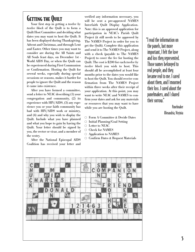# **GETTING THE QUILT**

Your first step in getting a *twelve by twelve block* of the Quilt is to form a Quilt Host Committee and deciding what dates you may want to host the Quilt. It has been displayed during Thanksgiving, Advent and Christmas, and through Lent and Easter. Other times you may want to consider are during the All Saints and All Souls feast days, on December 1st - World AIDS Day, or when the Quilt can be experienced during First Communion or Confirmation. Hosting the Quilt for several weeks, especially during special occasions or seasons, makes it harder for people to ignore the Quilt and the reason it came into existence.

After you have formed a committee, send a letter to NEAC describing (1) your congregation and community, (2) its experience with HIV/AIDS, (3) any experience you or your faith community has had with HIV/AIDS work or ministry, and (4) and why you wish to display the Quilt. Include what you have planned and what you hope to gain by having the Quilt. Your letter should be signed by you, the rector or vicar, and a member of the vestry.

After the National Episcopal AIDS Coalition has received your letter and

verified any information necessary, you will be sent a pre-approved NAMES Interfaith Quilt Display Application. Note: this is an approved application for participation in NEAC's Parish Quilt Project (it still needs to be approved by The NAMES Project in order for you to get the Quilt). Complete this application and send it to The NAMES Project, along with a check (payable to The NAMES Project) to cover the fee for hosting the Quilt. The cost is \$200 for each *twelve by twelve block* you wish to host. This should all be accomplished at least four months prior to the dates you would like to host the Quilt. You should receive confirmation from The NAMES Project within three weeks after their receipt of your application. At this point, you may want to write NEAC and NAMES to confirm your dates and ask for any materials or resources that you may want to have while you are hosting the Quilt.

- l Form A Committee & Decide Dates
- $\circ$  Initial Planning/Goal Setting
- $\bigcirc$  Letter to NEAC
- $\circ$  Check for NAMES
- $\circ$  Application to NAMES
- O Confirm Dates & Request Materials



Panelmaker Alexandria, Virginia

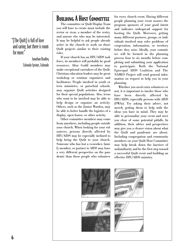### "[The Quilt] is full of love and caring, but there is room for more."

Jonathan Bradley Colorado Springs, Colorado

# **BUILDING A HOST COMMITTEE**

The committee or Quilt Display Team you will have to create must include the rector or vicar, a member of the vestry, and anyone else who may be interested. It may be helpful to ask people already active in the church to work on those Quilt projects similar to their existing roles.

If your church has an HIV/AIDS task force, its members will probably be good resources. Altar Guild members may make exceptional caretakers of the Quilt. Christian education leaders may be great workshop or seminar organizers and facilitators. People involved in youth or teen ministries, or parochial schools, may organize Quilt activities designed for their special populations. Also, teens who want to be involved may be able to help design or organize an activity. Others, such as the Junior Warden, may be able to better handle the logistics of a display, open house, or other activity.

Other committee members may come from anywhere, including people outside your church. When looking for your volunteers, persons directly affected by HIV/AIDS may be especially inclined to help bring the Quilt to your church. Someone who has lost a co-worker, family member, or partner to AIDS may have a very different perspective on the pandemic than those people who volunteer

for every church event. Having different people planning your event assures the program sponsors of your good intent and indicates widespread support for hosting the Quilt. Moreover, getting many different partners, groups, or individuals involved may solve problems of cooperation, information, or territory before they arise. Ideally, your committee will be formed in the planning process four to six months before completing and submitting your application to participate. Both the National Episcopal AIDS Coalition and The NAMES Project will send general information on request to help you in your planning.

Whether you need extra volunteers or not, it is important to involve those who have been directly affected by HIV/AIDS, especially persons with AIDS (PWAs). Try asking their advice, not merely getting them to help with the ideas you have in mind. They may be able to personalize your event and steer you clear of some potential pitfalls. In addition, their advice and perspectives may give you a clearer vision about what the Quilt and pandemic are about. Including congregation and community members on your Quilt Host Committee may help break down the barriers of unfamiliarity and be the first step toward a successful Quilt event and building an effective HIV/AIDS ministry.

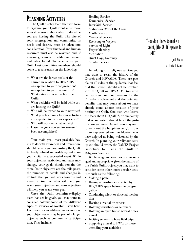# PLANNING ACTIVITIES

The Quilt display team that you form to organize your Quilt event must make several decisions about what to do while you are hosting the Quilt. The size of your congregation and community, its needs and desires, must be taken into consideration. Your financial and human resources must also be reviewed and, if necessary, sources of additional money and labor found. To be effective your Quilt Host Committee members should come to a consensus on the following:

- What are the larger goals of the church in relation to HIV/AIDS: —as applied to your congregation? —as applied to your community?
- What dates you want to host the Quilt?
- What activities will be held while you are hosting the Quilt?
- Who will be invited to your activities?
- What people coming to your activities are expected to learn or experience?
- Who will work on what activity?
- Have the goals you set for yourself been accomplished?

Your main goal, most probably having to do with awareness and prevention, should be why you are hosting the Quilt. A clearly defined and widely agreed upon goal is vital to a successful event. While your objectives, activities, and dates may change, your goals should remain the same. Your objectives are the mile posts, the numbers of people and changes in attitude that you will work towards and measure. Your activities will help you reach your objectives and your objectives will help you reach your goal.

Once the Quilt committee/display team has set its goals, you may want to consider holding some of the different types of services of worship listed here. Each service can address one or more of your objectives or may be part of a larger objective such as community participation. They include:

Healing Service Ecumenical Service Interfaith Service Stations or Way of the Cross Youth Service Memorial Service Evensong or Vespers Service of Light Prayer Meetings **Meditation** Quiet Days/Evenings Sunday Service

In holding your religious services you may want to recall the history of the Church and HIV/AIDS. There are people on all sides of the epidemic that feel that the Church should not be involved with the Quilt or HIV/AIDS. You must be ready to point out reasons for the Church's involvement and the potential benefits that may come about (or have already come about) because of your hosting the Quilt. One teen who learns the facts about HIV/AIDS, or one family that is comforted, should be all the justification you need. As well, you may want to point out the happiness and/or irony those represented on the block(s) may have enjoyed at being welcomed by the Church. In planning your religious activity you should review the NAMES Project Guidelines for using the Quilt in Religious Services.

While religious activities are encouraged and appropriate given the nature of the Parish Quilt Project, you may want to consider some other, more secular activities such as the following:

- Making a panel
- Having a parishioner affected by HIV/AIDS speak before the congregation
- Conducting silent or directed meditation
- Hosting a recital or concert
- Holding workshops or seminars
- Holding an open house several times a week
- Inviting schools to have field trips
- Supplying a meal to PWAs or those attending your activities

### "You don't have to make a point, [the Quilt] speaks for itself."

Quilt Visitor St. Louis, Missouri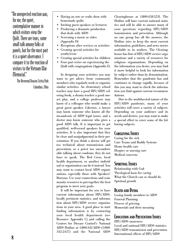"An unexpected reaction was, for me, the quiet, contemplative manner in which visitors view the Quilt. There are tears, some small talk among folks at panels, but for the most part it is a quiet observance. I compare it to the reaction of visitors to the Vietnam War Memorial."

> The Reverend Deacon Ciritta Park Columbus, Ohio

- Having an arts or crafts show with homemade quilts
- Inviting guest speakers or lecturers
- Producing a dramatic production that deals with AIDS
- Screening a movie or video (Appendix D)
- Receptions after services or activities
- Creating special activities for youth/teens
- Creating special activities for children
- Four part series on experiencing the Quilt with congregations (Appendix E)

In designing your activities you may want to get advice from community members who regularly work or organize similar activities. An elementary school teacher may have a good HIV/AIDS coloring book, a drama teacher a good oneact play, and a college professor may know of a colleague who would make a great guest speaker. Likewise, a lawyer may know someone who knows all the ins-and-outs of AIDS legal issues, and a doctor may know someone who gives a good AIDS talk. It is important to get qualified, well-versed speakers for your activities. It is also important that they be clear and nonjudgmental in their presentation. If you think a doctor will get too technical about transmission and prevention, or a priest too uncomfortable talking about condoms, they do not have to speak. The Red Cross, local health department, or another individual or organization can do it instead. You may want to contact local AIDS organizations, especially those with Speakers' Bureaus. Use your connections and community resources to put together the best program to meet your goals.

It will be important for you to have current information about HIV/AIDS, locally pertinent statistics, and information about HIV/AIDS service organizations in your area. A good place to start finding information is by contacting your local health department (see Resource Appendix C) and calling the Centers for Disease Control's National AIDS Hotline at 1-800-342-AIDS (1-800- 342-2437) and the National AIDS

Clearinghouse at 1-800-458-5231. The Hotline will have current national statistics and will be able to answer many of your questions regarding HIV/AIDS transmission and prevention. Although no one group has all the answers, the Hotline tries to keep the most current information, guidelines, and news stories available to its workers. The Clearinghouse has lists of HIV/AIDS service organizations and a variety of resources for religious organizations. Depending on the information you desire, you may find it more helpful to look for information by subject rather than by denomination. Remember that the pandemic has and continues to change rapidly, because of this you may want to check the information you find against current recommendations.

Due to the multifaceted nature of the HIV/AIDS pandemic, many of your activities will cover a variety of subjects. Depending on your audience and its needs and desires, you may want to make a special effort to cover some of the following subjects.

### Caregiving Issues

Caring for the sick Care Teams and Buddy Systems Home health care Hospice or nursing care Medical concerns

### Spiritual Issues

Relationship with God Theological basis for caring What the Church can or should do Spiritual growth

### Death and Dying

Losing family members to AIDS Funeral Planning Process of grieving Memorials and their meaning

### Education and Prevention Issues

HIV/AIDS awareness Local and national HIV/AIDS statistics HIV/AIDS transmission and prevention International effects of HIV/AIDS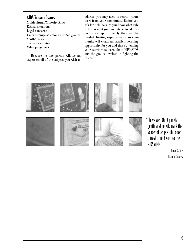### AIDS Related Issues

Multicultural/Minority AIDS Ethical situations Legal concerns Unity of purpose among affected groups Youth/Teens Sexual orientation Value judgments

Because no one person will be an expert on all of the subjects you wish to

address, you may need to recruit volunteers from your community. Before you ask for help be sure you know what subjects you want your volunteers to address and when approximately they will be needed. Inviting experts from your community will create an excellent learning opportunity for you and those attending your activities to learn about HIV/AIDS and the groups involved in fighting the disease.



"I have seen Quilt panels gently and quietly crack the veneer of people who once turned stone hearts to the AIDS crisis."

> Bruce Garner Atlanta, Georgia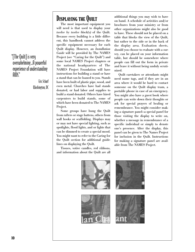"[The Quilt] is very overwhelming…A powerful experience of understanding  $\lim$ 

> Eric Scharf Washington, DC

# DISPLAYING THE QUILT

The most important equipment you will need is that used to display your *twelve by twelve block(s)* of the Quilt. Because every building is a little different, this handbook cannot address the specific equipment necessary for each Quilt display. However, an *Installation Guide* will be provided by The NAMES Project (see "Caring for the Quilt") and some local NAMES Project chapters or the national headquarters of The NAMES Project Foundation will have instructions for building a stand or have a stand that can be loaned to you. Stands have been built of plastic pipe, wood, and even metal. Churches have had stands donated, or had labor and supplies to build a stand donated. Others have hired carpenters to build stands, some of which have been donated to The NAMES Project.

Some groups have hung the Quilt from rafters or stage battens, others from wall hooks or scaffolding. Displays may or may not have special lighting, such as spotlights, flood lights, and or lights that can be dimmed to create a special mood. You might want to refer to the Caring for the Quilt section for additional guidelines on displaying the Quilt.

Tissues, votive candles, red ribbons, and information about the Quilt are all additional things you may wish to have on hand. A schedule of activities and/or brochures from your ministry or from other organizations might also be good to have. These should not be placed on a table that blocks the view of the Quilt, but rather to the side or in the back of the display area. Evaluation sheets, should you choose to evaluate with a survey, can be placed on your information table, but should be somewhere where people can fill out the form in private and leave it without being unduly scrutinized.

Quilt caretakers or attendants might need name tags, and if they are in an area where it would be hard to contact someone on the Quilt display team, a portable phone in case of an emergency. You might also have a guest book where people can write down their thoughts or ask for special prayers of healing or remembrance. You might consider making a signature panel—a special panel for those visiting the display to write on, whether a message in remembrance of a specific individual or simply to denote one's presence. After the display, this panel can be given to The Names Project for inclusion in the Quilt. Instructions for making a signature panel are available from The NAMES Project.

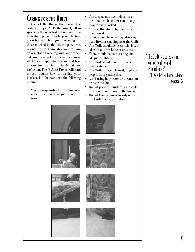# Caring for the Quilt

One of the things that make The NAMES Project AIDS Memorial Quilt so special is the one-of-a-kind nature of the individual panels. Each panel is irreplaceable and has great meaning for those touched by the life the panel represents. You will probably want to have an orientation meeting with your different groups of volunteers so they know what their responsibilities are and how to care for the Quilt. The *Installation Guide* that The NAMES Project will send to you details how to display your block(s), but for now keep the following in mind:

• You are responsible for the Quilt—do not entrust it to those you cannot trust

- The display must be indoors in an area that can be either continually monitored or locked
- A respectful atmosphere must be maintained
- There should be no eating, drinking, open fires, or smoking near the Quilt
- The Quilt should be accessible, located so that it can be seen up close
- There should be both seating and adequate lighting
- The Quilt should not be bunched, tied, or draped
- The Quilt is never cleaned, so please keep it from getting dirty
- Avoid using holy water or incense on or near the Quilt
- Do not place the Quilt over air vents or where it may move in the breeze
- Do not lend or unnecessarily move the Quilt once it is in place.



The Very Reverend James L. Burns, Lexington, KY

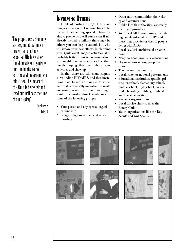"The project was a stunning success, and it was much larger than what we expected. We have since found ourselves organizing our community to do exciting and important new ministries. The impact of this Quilt is being felt and lived out well past the time of our display."

Sue Kuebler

Erie, PA

# Involving Others

Think of hosting the Quilt as planning a special event. Everyone likes to be invited to something special. There are always people who will come even if not directly invited. Similarly there may be others you can beg to attend, but who will ignore your best efforts. In planning your Quilt event and/or activities, it is probably better to invite everyone whom you might like to attend rather than merely hoping they hear about your activities and show up.

In that there are still many stigmas surrounding HIV/AIDS, and that invitations tend to reduce barriers to attendance, it is especially important to invite everyone you want to attend. You might want to consider direct invitations to some of the following groups:

- Your parish and any special organizations in it
- Clergy, religious orders, and other parishes
- Other faith communities, their clergy and organizations
- Public Health authorities, especially their care providers
- Your local AIDS community, including people infected with HIV and those that provide services to people living with AIDS
- Local gay/lesbian/bisexual organizations
- Neighborhood groups or associations
- Organizations serving people of color
- The business community
- Local, state, or national governments
- Educational institutions (public, private, preschool, elementary school, middle school, high school, college, trade, boarding, military, disabled, and special education)
- Women's organizations
- Local service clubs such as the Rotary Club
- Youth organizations like the Boy Scouts and Girl Scouts

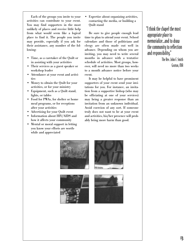Each of the groups you invite to your activities can contribute to your event. You may find supporters in the most unlikely of places and receive little help from what would seem like a logical place to find it. The people you invite may provide, especially if you ask for their assistance, any number of the following:

- Time, as a caretaker of the Quilt or in assisting with your activities
- Their services as a guest speaker or workshop leader
- Attendance at your event and activities
- Money to obtain the Quilt for your activities, or for your ministry
- Equipment, such as a Quilt stand, lights, or tables
- Food for PWAs, for shelter or home meal programs, or for receptions after your activities
- Advertising for your Quilt event
- Information about HIV/AIDS and how it affects your community
- Mental or moral support in letting you know your efforts are worthwhile and appreciated

• Expertise about organizing activities, contacting the media, or building a Quilt stand

Be sure to give people enough lead time to plan to attend your event. School calendars and those of politicians and clergy are often made out well in advance. Depending on whom you are inviting, you may need to write several months in advance with a tentative schedule of activities. Most groups, however, will need no more than two weeks to a month advance notice before your event.

It may be helpful to have prominent supporters of your event send your invitations for you. For instance, an invitation from a supportive bishop (who may be officiating at one of your services) may bring a greater response than an invitation from an unknown individual. Avoid coercion of any sort. If someone truly does not want to be at your event and activities, his/her presence will probably bring more harm than good.



The Rev. John F. Smith Groton, MA





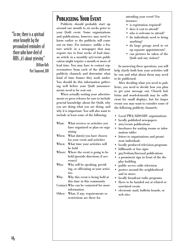"To me, there is a spiritual sense brought by the personalized reminders of those who have died of AIDS…it's about grieving."

> William Kalb Port Townsend, WA

# Publicizing Your Event

Publicity should probably start up around one month to six weeks prior to your Quilt event. Some organizations and publications, however, may need to know earlier so the publicity will come out on time. For instance, unlike a feature article in a newspaper that may require two to four weeks of lead time, an article in a monthly art/events publication might require a month or more of lead time. You may have to contact representatives from each of the different publicity channels and determine what kind of time frames they work under. You should do this information gathering well before your Quilt announcements need to be sent out.

When actually writing your advertisements or press releases be sure to include general knowledge about the Quilt, why you are doing what you are doing, and why it is important. You will also want to include at least some of the following:

- What: What services or activities you have organized or plan on organizing
- When: What date(s) you have chosen for your event and activities
- When: What time your activities will be held
- Where: Where the event is going to be held (provide directions if necessary)
- Who: Who will be speaking, presiding, or officiating at your activities
- Why: Why this event is being held at this time in this community
- Contact:Who can be contacted for more information
- Other: What, if any, requirements or restrictions are there for

attending your event? For instance:

- is registration required?
- does it cost to attend?
- who is welcome to attend?
- do individuals need to bring anything?
- do large groups need to set up separate appointments?
- can pictures be taken of the Quilt and any visitors?

In answering these questions, you will help clarify both how your activities will be run and what about them may need to be publicized.

After deciding what you need to publicize, you need to decide how you plan to get your message out. Church bulletins and word-of-mouth may be sufficient for small displays, but for larger events you may want to consider some of the following publicity channels:

- Local PWA/AIDS-HIV organizations
- locally published newspapers
- arts/events publications
- brochures for waiting rooms or information tables
- letters to organizations and prominent individuals
- locally produced television programs
- billboards or bus signs
- gay/lesbian/bisexual publications
- a prominent sign in front of the display building
- public access cable television
- posters around the neighborhood and in stores
- locally broadcast radio programs
- flyers to be handed out at related or unrelated events
- electronic mail, bulletin boards, or web sites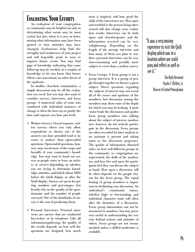# Evaluating Your Efforts

An evaluation of your congregation or community may be helpful not only in determining what events may be most useful, but also, when it is over, in determining what information may have been gained or how attitudes may have changed. Evaluations help find the strengths and weaknesses of your project and will hopefully point to ways to improve future events. You may find gaps of knowledge indicating that some follow-up may be needed, or a surplus of knowledge to let you know that future efforts can concentrate on other facets of the epidemic.

In smaller, close-knit communities, a simple discussion may be all the evaluation you need, but you may also want to consider surveys, interviews, and focus groups. A numerical value of some sort combined with individual instances of change is often the best way to justify the time and expense you have put forth.

- Written Surveys: Closed response, written surveys where you only allow respondents to choose one of the answers you have provided tend to be easier to analyze than open-ended questions. Open-ended questions, however, may reveal more of the scope and breadth of your community's knowledge. You may want to hand out surveys as people enter or leave an activity or service—depending on whether you are trying to determine knowledge, attitudes, and beliefs about AIDS before the Quilt display or after the Quilt display. Surveys are great for getting numbers and percentages, but heavily rely on the quality of the questionnaire and the number of people surveyed. One of the drawbacks of surveys is the cost of producing them.
- Personal Interviews: Personal interviews are surveys that are conducted face-to-face or by telephone. Like all information-gathering, the quality of the results depends on how well the questions are designed, how much

trust is inspired, and how good the skills of the interviewer are. How open and truthful is the person being interviewed will also change your evaluation results. Interviews can be both open- and closed-response, and the information received can be very enlightening. Depending on the length of the average interview and how many of them you plan to conduct, personal interviews can be very time-consuming and possibly more subject to error than a written survey.

• Focus Groups: A focus group is not a group interview. It is a group of people brought together to discuss a given subject. Direct questions regarding the subjects of interest may not reveal all of the issues and opinions of the members, but discussion among the members may show some of the depth for which you may be looking. A moderator leads the discussion and guides focus group members into talking about the subject of interest; moderators, however, do not actively participate in the discussion. Focus groups are often recorded for later analysis or an assistant is present and taking notes as the discussion progresses. The quality of information obtained relies on how well different groups in the community or congregation are represented, the skills of the moderator, and how free and open the participants feel they can discuss the subject at hand. How open a discussion will be often depends on the people chosen for the focus group. The equal footing of group members is important in facilitating easy discussion. An individual's community status, whether high- or low-standing, and individual character traits will often alter the dynamics of a discussion. Focus group information can not be measured in numbers, but may prove very useful in understanding the reasons behind actions and attitudes of others. Focus groups are not recommended unless a skilled moderator is available.

"It was a very moving experience to visit the Quilt display which was in a location where we could pray and reflect as well as see it."

> The Right Reverend Charlie F. McNutt, Jr. Diocese of Central Pennsylvania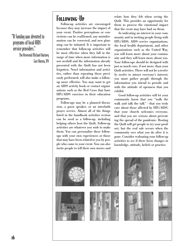### "A Sunday was devoted to programs of local AIDS service providers."

The Reverend Michael Hartney East Aurora, NY

# Following-Up

Follow-up activities are encouraged because they may increase the impact of your event. Positive perceptions or convictions can be reaffirmed, any misinformation can be corrected, and new planning can be initiated. It is important to remember that follow-up activities will be most effective when they fall in the range of time when more information is not overkill and the information already presented with the Quilt has not been forgotten. Novel information and activities, rather than repeating those previously performed, will also make a followup more effective. You may want to get an AIDS activity book or contact organizations such as the Red Cross that have HIV/AIDS exercises in their education programs.

Follow-ups may be a planned discussion, a guest speaker, or an interfaith prayer service. Almost all of the things listed in the handbook activities section can be used as a follow-up, including helping others host the Quilt. Follow-up activities are whatever you wish to make them. You can personalize these followups with your own experiences or those that may have been related to you by people who came to your event. You can also invite people to tell their own stories and relate how they felt when seeing the Quilt. This provides an opportunity for them to process the emotional impact that the event may have had on them.

In indicating an interest in your community and in inviting people living with HIV/AIDS, AIDS service organizations, the local health department, and other organizations such as the United Way, you will learn more about your community and they will learn more about you. Your follow-ups should be designed with just as much care, if not more, than your Quilt activities. There will not be a *twelve by twelve* to attract everyone's interest; you must gather people through the information you intend to provide and with the attitude of openness that you exhibit.

Good follow-up activities will let your community know that you "walk the walk and talk the talk" - that you truly care about those affected by HIV/AIDS, that your church welcomes everyone, and that you are serious about preventing the spread of the pandemic. Hosting the Quilt will get people to try your product, but the real sale occurs when the community sees what you do after it is gone. Consider evaluating your follow-up activities to see if there been changes in knowledge, attitude, beliefs or practice.

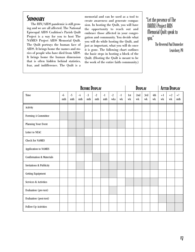# **SUMMARY**

The HIV/AIDS pandemic is still growing and we are all affected. The National Episcopal AIDS Coalition's Parish Quilt Project is a way for you to host The NAMES Project AIDS Memorial Quilt. The Quilt portrays the human face of AIDS. It brings home the names and stories of people who have died from AIDS. It brings home the human dimension that is often hidden behind statistics, fear, and indifference. The Quilt is a

memorial and can be used as a tool to create awareness and generate compassion. In hosting the Quilt, you will have the opportunity to reach out and embrace those affected in your congregation and community. You decide what you will do while hosting the Quilt, and just as important, what you will do once it is gone. The following chart outlines the basic steps in hosting a block of the Quilt. (Hosting the Quilt is meant to be the work of the entire faith community.)

"Let the presence of The NAMES Project AIDS Memorial Quilt speak to you."

> The Reverend Paul Donnecker Lewisburg, PA

|                                     | <b>BEFORE DISPLAY</b> |             |                                 |                                 |             | DISPLAY                         |             |            |           | <b>AFTER DISPLAY</b>  |           |           |            |                             |             |
|-------------------------------------|-----------------------|-------------|---------------------------------|---------------------------------|-------------|---------------------------------|-------------|------------|-----------|-----------------------|-----------|-----------|------------|-----------------------------|-------------|
| Time                                | $-6$<br>mth           | $-5$<br>mth | $-4$<br>$\mathop{\mathrm{mth}}$ | $-3$<br>$\mathop{\mathrm{mth}}$ | $-2$<br>mth | $-1$<br>$\mathop{\mathrm{mth}}$ | $-2$<br>wks | $-1$<br>wk | 1st<br>wk | 2nd<br>w <sub>k</sub> | 3rd<br>wk | 4th<br>wk | $+1$<br>wk | $+2$<br>$\operatorname{wk}$ | $+?$<br>mth |
| Activity                            |                       |             |                                 |                                 |             |                                 |             |            |           |                       |           |           |            |                             |             |
| Forming A Committee                 |                       |             |                                 |                                 |             |                                 |             |            |           |                       |           |           |            |                             |             |
| Planning Your Event                 |                       |             |                                 |                                 |             |                                 |             |            |           |                       |           |           |            |                             |             |
| Letter to NEAC                      |                       |             |                                 |                                 |             |                                 |             |            |           |                       |           |           |            |                             |             |
| <b>Check for NAMES</b>              |                       |             |                                 |                                 |             |                                 |             |            |           |                       |           |           |            |                             |             |
| Application to NAMES                |                       |             |                                 |                                 |             |                                 |             |            |           |                       |           |           |            |                             |             |
| <b>Confirmation &amp; Materials</b> |                       |             |                                 |                                 |             |                                 |             |            |           |                       |           |           |            |                             |             |
| <b>Invitations &amp; Publicity</b>  |                       |             |                                 |                                 |             |                                 |             |            |           |                       |           |           |            |                             |             |
| Getting Equipment                   |                       |             |                                 |                                 |             |                                 |             |            |           |                       |           |           |            |                             |             |
| Services & Activities               |                       |             |                                 |                                 |             |                                 |             |            |           |                       |           |           |            |                             |             |
| Evaluation (pre-test)               |                       |             |                                 |                                 |             |                                 |             |            |           |                       |           |           |            |                             |             |
| Evaluation (post-test)              |                       |             |                                 |                                 |             |                                 |             |            |           |                       |           |           |            |                             |             |
| Follow-Up Activities                |                       |             |                                 |                                 |             |                                 |             |            |           |                       |           |           |            |                             |             |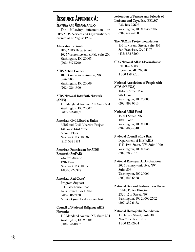### Resource Appendix A: SERVICES AND ORGANIZATIONS

The following information on HIV/AIDS Services and Organizations is current as of August 1995.

#### Advocates for Youth

HIV/AIDS Department 1025 Vermont Avenue, NW, Suite 200 Washington, DC 20005 (202) 347-5700

#### AIDS Action Council

1875 Connecticut Avenue, NW Suite 700 Washington, DC 20009 (202) 986-1300

#### AIDS National Interfaith Network (ANIN)

110 Maryland Avenue, NE, Suite 504 Washington, DC 20002 (202) 546-0807

#### American Civil Liberties Union

AIDS and Civil Liberties Project 132 West 43rd Street Second Floor New York, NY 10036 (215) 592-1513

#### American Foundation for AIDS Research (AmFAR)

733 3rd Avenue 12th Floor New York, NY 10017 1-800-392-6327

#### American Red Cross\*

Program Support 8111 Gatehouse Road Falls Church, VA 22042 (703) 206-7120 \*contact your local chapter first

#### Council of National Religious AIDS **Networks**

110 Maryland Avenue, NE, Suite 504 Washington, DC 20002 (202) 546-0807

#### Federation of Parents and Friends of Lesbians and Gays, Inc. (PFLAG)

P.O. Box 27605 Washington, DC 20038-7605 (202) 638-4200

#### The NAMES Project Foundation

310 Townsend Street, Suite 310 San Francisco, CA 94107 (415) 882-5500

### CDC National AIDS Clearinghouse

P.O. Box 6003 Rockville, MD 20850 1-800-458-5231

#### National Association of People with AIDS (NAPWA)

1413 K Street, NW 7th Floor Washington, DC 20005 (202) 898-0414

#### National AIDS Fund

1400 I Street, NW 12th Floor Washington, DC 20005 (202) 408-4848

#### National Council of La Raza

Department of HIV/AIDS 1111 19th Street, NW, Suite 1000 Washington, DC 20036 (202) 785-1670

#### National Episcopal AIDS Coalition

2025 Pennsylvania Ave, NW Suite 508 Washington, DC 20006 (202) 628-6628

#### National Gay and Lesbian Task Force

Public Policy Director 2320 17th Street, NW Washington, DC 20009-2702 (202) 332-6483

#### National Hemophilia Foundation

110 Green Street, Suite 303 New York, NY 10012 1-800-424-2634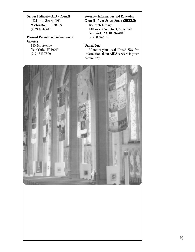#### National Minority AIDS Council

1931 13th Street, NW Washington, DC 20009 (202) 483-6622

#### Planned Parenthood Federation of America

810 7th Avenue New York, NY 10019 (212) 541-7800

#### Sexuality Information and Education Council of the United States (SIECUS)

Research Library 130 West 42nd Street, Suite 350 New York, NY 10036-7802 (212) 819-9770

#### United Way

\*Contact your local United Way for information about AIDS services in your community

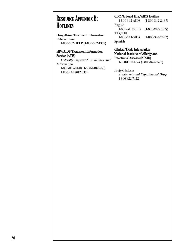# Resource Appendix B: HOTLINES

#### Drug Abuse Treatment Information Referral Line

1-800-662-HELP (1-800-662-4357)

#### HIV/AIDS Treatment Information Service (ATIS)

Federally Approved Guidelines and Information 1-800-HIV-0440 (1-800-448-0440) 1-800-234-7012 TDD

#### CDC National HIV/AIDS Hotline

1-800-342-AIDS (1-800-342-2437) English 1-800-AIDS-TTY (1-800-243-7889) TTY/TDD 1-800-344-SIDA (1-800-344-7432)

Spanish

#### Clinical Trials Information National Institute of Allergy and Infectious Diseases (NIAID)

1-800-TRIALS-A (1-800-874-2572)

#### Project Inform

Treatments and Experimental Drugs 1-800-822-7422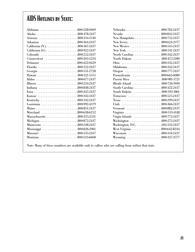# AIDS HOTLINES BY STATE:

| Alabama 800-228-0469   | Nebraska 800-782-2437         |  |
|------------------------|-------------------------------|--|
|                        | Nevada 800-842-2437           |  |
| Arizona 800-334-1540   |                               |  |
| Arkansas 800-364-2437  |                               |  |
|                        |                               |  |
|                        |                               |  |
| Colorado 800-252-2437  | North Carolina 800-342-2437   |  |
|                        | North Dakota 800-472-2180     |  |
| Delaware 800-422-0429  |                               |  |
|                        | Oklahoma 800-342-2437         |  |
|                        |                               |  |
| Hawaii 800-321-1555    | Pennsylvania 800-662-6080     |  |
|                        | Puerto Rico 800-981-5721      |  |
|                        |                               |  |
| Indiana 800-848-2437   | South Carolina 800-322-2437   |  |
| Iowa800-445-2437       | South Dakota 800-592-1861     |  |
|                        | Tennessee 800-525-2437        |  |
|                        |                               |  |
| Louisiana 800-992-4379 | Utah 800-366-2437             |  |
| Maine 800-851-2437     | Vermont 800-882-2437          |  |
| Maryland 800-638-6252  | Virginia 800-533-4148         |  |
|                        | Virgin Islands 809-773-2437   |  |
| Michigan 800-872-2437  | Washington 800-272-2437       |  |
| Minnesota 800-248-2437 | Washington, D.C. 202-332-2437 |  |
|                        |                               |  |
|                        |                               |  |
| Montana 800-233-6668   |                               |  |

| Nebraska 800-782-2437         |
|-------------------------------|
| Nevada 800-842-2437           |
| New Hampshire 800-752-2437    |
|                               |
| New Mexico 800-545-2437       |
|                               |
| North Carolina 800-342-2437   |
| North Dakota 800-472-2180     |
|                               |
| Oklahoma 800-342-2437         |
| Oregon 800-777-2437           |
| Pennsylvania 800-662-6080     |
| Puerto Rico 800-981-5721      |
| Rhode Island 800-726-3010     |
| South Carolina 800-322-2437   |
| South Dakota 800-592-1861     |
| Tennessee 800-525-2437        |
|                               |
|                               |
| Vermont 800-882-2437          |
| Virginia 800-533-4148         |
| Virgin Islands 809-773-2437   |
| Washington 800-272-2437       |
| Washington, D.C. 202-332-2437 |
|                               |
|                               |
| Wyoming 800-327-3577          |

Note: Many of these numbers are available only to callers who are calling from within that state.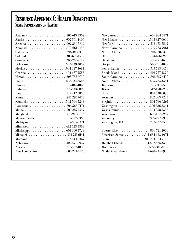# Resource Appendix C: Health Departments State Departments of Health:

| Alabama 205-613-5362     |                                      |  |
|--------------------------|--------------------------------------|--|
|                          |                                      |  |
|                          |                                      |  |
| Arkansas 501-661-2135    | North Carolina 919-733-7081          |  |
| California 916-323-7415  | North Dakota 701-328-2378            |  |
| Colorado 303-692-2719    |                                      |  |
| Connecticut 203-240-9122 | Oklahoma 405-271-4636                |  |
| Delaware 302-739-3032    | Oregon 503-731-4029                  |  |
|                          | Pennsylvania 717-783-0479            |  |
| Georgia 404-657-2588     | Rhode Island 401-277-2320            |  |
| Hawaii 808-733-9010      | South Carolina 803-737-4110          |  |
|                          |                                      |  |
| Illinois 312-814-4846    |                                      |  |
|                          | Texas 512-458-7209                   |  |
| Iowa 515-242-5838        |                                      |  |
| Kansas 913-296-6173      | Vermont 802-863-7245                 |  |
| Kentucky 502-564-7243    | Virginia 804-786-6267                |  |
| Louisiana 504-568-7474   | Washington 206-586-8344              |  |
| Maine 207-287-3747       |                                      |  |
| Maryland 410-225-5013    |                                      |  |
|                          | Wyoming 307-777-5932                 |  |
| Michigan 517-335-8371    | Washington, D.C. 202-727-2500        |  |
|                          |                                      |  |
|                          |                                      |  |
| Missouri 314-751-6141    | American Samoa 011-684-633-4071      |  |
| Montana 406-444-2457     |                                      |  |
| Nebraska 402471-2937     | Marshall Islands 011-692-625-3355    |  |
|                          |                                      |  |
|                          | N. Mariana Islands. 011-670-234-8950 |  |

| New York 518-473-7542                |  |
|--------------------------------------|--|
| North Carolina 919-733-7081          |  |
| North Dakota 701-328-2378            |  |
|                                      |  |
| Oklahoma 405-271-4636                |  |
| Oregon 503-731-4029                  |  |
| Pennsylvania 717-783-0479            |  |
| Rhode Island 401-277-2320            |  |
| South Carolina 803-737-4110          |  |
| South Dakota 605-773-3364            |  |
|                                      |  |
| Texas 512-458-7209                   |  |
| Utah 801-538-6096                    |  |
| Vermont 802-863-7245                 |  |
| Virginia 804-786-6267                |  |
| Washington 206-586-8344              |  |
| West Virginia 304-558-5358           |  |
|                                      |  |
| Wyoming 307-777-5932                 |  |
| Washington, D.C. 202-727-2500        |  |
| Puerto Rico 809-721-2000             |  |
| American Samoa 011-684-633-4071      |  |
|                                      |  |
| Marshall Islands 011-692-625-3355    |  |
| Micronesia 011-691-320-2619          |  |
| N. Mariana Islands. 011-670-234-8950 |  |
|                                      |  |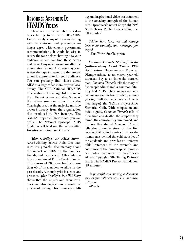# Resource Appendix D: HIV/AIDS Videos

There are a great number of videotapes having to do with HIV/AIDS. Unfortunately, many of the ones dealing with transmission and prevention no longer agree with current government recommendations. It would be wise to review the tape before showing it to your audience so you can find those errors and correct any misinformation after the presentation is over. Also, you may want review the tape to make sure the presentation is appropriate for your audience. You can probably find videos about AIDS at a large video store or your local library. The CDC National HIV/AIDS Clearinghouse has a large list of some of the different videos available. Some of the videos you can order from the Clearinghouse, but the majority must be ordered directly from the organization that produced it. For instance, The NAMES Project will have videos you can order. The National Episcopal AIDS Coalition will lend out the videos After Goodbye and Common Threads.

*After Goodbye: An AIDS Story*— Award-winning actress Ruby Dee narrates this powerful documentary about the impact of AIDS on the families, friends, and members of Dallas' internationally acclaimed Turtle Creek Chorale. This chorus of 200 men has lost more than 60 of its members to AIDS in the past decade. Although grief is a constant presence, *After Goodbye: An AIDS Story* shows that the singers and their loved ones are also engaged in a continual process of healing. This ultimately uplifting and inspirational video is a testament to the amazing strength of the human spirit. (producer's notes) Copyright 1993 North Texas Public Broadcasting Inc. (60 minutes)

*Seldom have love, loss and courage been more candidly, and movingly, portrayed.*

—Fort Worth Star-Telegram

*Common Threads: Stories from the Quilt*—Academy Award Winner 1989 Best Feature Documentary. From an Olympic athlete to an eleven year old suburban boy to an inner-city married man, *Common Threads* tells the story of five people who shared a common fate they had AIDS. Their names are now commemorated in five panels of an evergrowing quilt that now covers 14 acres (now larger)—the NAMES Project AIDS Memorial Quilt. With compassion and quiet dignity, *Common Threads* tells of their lives and deaths—the support they found, the courage they summoned, and the love they shared. *Common Threads* tells the dramatic story of the first decade of AIDS in America. It shows the human face behind the cold statistics of the epidemic and provides an unforgettable testament to the strength and endurance of the human spirit. (producer's notes, comments in parentheses added) Copyright 1989 Telling Pictures, Inc. & The NAMES Project Foundation. (79 minutes)

*As powerful and moving a documentary as you will ever see...This one stays with you.*

—People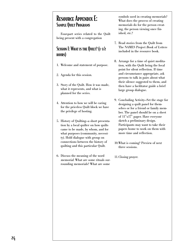# Resource Appendix E: Sample Quilt Programs

Four-part series related to the Quilt being present with a congregation

### Session I: What is the Quilt? (1-1/2 hours)

- 1. Welcome and statement of purpose.
- 2. Agenda for this session.
- 3. Story of the Quilt. How it was made, what it represents, and what is planned for the series.
- 4. Attention to how we will be caring for the priceless Quilt block we have the privilege of hosting.
- 5. History of Quilting—a short presentation by a local quilter on how quilts came to be made, by whom, and for what purposes (community, necessity). Hold dialogue with group on connections between the history of quilting and this particular Quilt.
- 6. Discuss the meaning of the word memorial. What are some rituals surrounding memorials? What are some

symbols used in creating memorials? What does the process of creating memorials do for the person creating, the person viewing once finished, etc.?

- 7. Read stories from the Quilt from The NAMES Project Book of Letters included in the resource book.
- 8. Arrange for a time of quiet meditation, with the Quilt being the focal point for silent reflection. If time and circumstance appropriate, ask persons to talk in pairs about what their silence suggested to them, and then have a facilitator guide a brief large group dialogue.
- 9. Concluding Activity—Set the stage for designing a quilt panel for themselves or for a friend or family member. The panel should be on a sheet of 11″x17″ paper. Have everyone sketch a preliminary design. Participants may want to take their papers home to work on them with more time and reflection.
- 10.What is coming? Preview of next three sessions.
- 11.Closing prayer.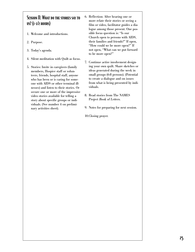### Session II: What do the stories say to us? (1-1/2 hours)

- 1. Welcome and introductions.
- 2. Purpose.
- 3. Today's agenda.
- 4. Silent meditation with Quilt as focus.
- 5. Stories: Invite in caregivers (family members, Hospice staff or volunteers, friends, hospital staff, anyone who has been or is caring for someone with AIDS or other terminal illnesses) and listen to their stories. Or secure one or more of the impressive video stories available for telling a story about specific groups or individuals. (See number 4 on preliminary activities sheet).
- 6. Reflection: After hearing one or more relate their stories or seeing a film or video, facilitator guides a dialogue among those present. One possible focus question is: "Is our Church open to persons with AIDS, their families and friends?" If open, "How could we be more open?" If not open, "What can we put forward to be more open?"
- 7. Continue active involvement designing your own quilt. Share sketches or ideas generated during the week in small groups (6-8 persons). (Potential to create a dialogue and on issues from what is being presented by individuals.
- 8. Read stories from The NAMES Project Book of Letters.
- 9. Notes for preparing for next session.

10.Closing prayer.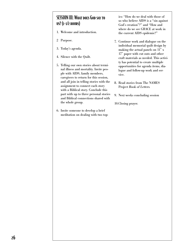### SESSION III: What does God say to us? (1-1/2 hours)

- 1. Welcome and introduction.
- 2 Purpose.
- 3. Today's agenda.
- 4. Silence with the Quilt.
- 5. Telling our own stories about terminal illness and mortality. Invite people with AIDS, family members, caregivers to return for this session, and all join in telling stories with the assignment to connect each story with a Biblical story. Conclude this part with up to three personal stories and Biblical connections shared with the whole group.
- 6. Invite someone to develop a brief meditation on dealing with two top-

ics: "How do we deal with those of us who believe AIDS is a "sin against God's creation"?" and "How and where do we see GRACE at work in the current AIDS epidemic?"

- 7. Continue work and dialogue on the individual memorial quilt design by making the actual panels on 11″ x 17″ paper with cut outs and other craft materials as needed. This activity has potential to create multiple opportunities for agenda items, dialogue and follow-up work and service.
- 8. Read stories from The NAMES Project Book of Letters.
- 9. Next weeks concluding session

10.Closing prayer.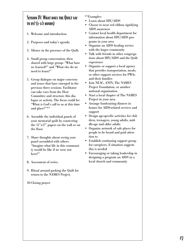### SESSION IV: WHAT DOES THE QUILT SAY to us? (1-1/2 hours)

- 1. Welcome and introduction.
- 2. Purposes and today's agenda.
- 3. Silence in the presence of the Quilt.
- 4. Small group conversation, then shared with large group: "What have we learned?" and "What else do we need to learn?"
- 5. Group dialogue on major concerns and issues that have emerged in the previous three sessions. Facilitator can take cues from the Host Committee and structure this dialogue or activity. The focus could be: "What is God's call to us at this time and place?"\*\*
- 6. Assemble the individual panels of your memorial quilt by connecting the 11″x17″ papers on the wall or on the floor.
- 7. Share thoughts about seeing your panel assembled with others. "Imagine what life in this community would be like if we were not here?"
- 8. Assessment of series.
- 9. Ritual around packing the Quilt for return to the NAMES Project.
- 10.Closing prayer.

#### \*\*Examples:

- Learn about HIV/AIDS
- Choose to wear red ribbon signifying AIDS awareness
- Contact local health department for information about HIV/AIDS programs in your area
- Organize an AIDS healing service with the larger community
- Talk with friends in other congregations about HIV/AIDS and the Quilt experience
- Organize or support a local agency that provides transportation, meals, or other support services for PWAs and their families
- Join NEAC, ANIN, The NAMES Project Foundation, or another national organization
- Start a local chapter of The NAMES Project in your area
- Arrange fund-raising dinners in homes for AIDS-related services and support
- Design age-specific activities for children, teenagers, young adults, middle-age and older adults
- Organize network of safe places for people to be heard and paid attention to
- Establish continuing support group for caregivers, if situation suggests this is needed
- Encouraging or taking leadership in designing a program on AIDS in a local church and community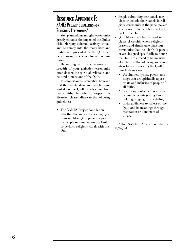### Resource Appendix F: NAMES Project Guidelines for Religious Ceremonies\*

Well-planned, meaningful ceremonies greatly enhance the impact of the Quilt's visit. Merging spiritual activity, ritual, and ceremony into the many lives and traditions represented by the Quilt can be a moving experience for all communities.

Depending on the structure and breadth of your activities, ceremonies often deepen the spiritual, religious, and cultural dimensions of the Quilt.

It is important to remember, however, that the panelmakers and people represented on the Quilt panels come from many faiths. In order to respect this diversity, please adhere to the following guidelines:

• The NAMES Project Foundation asks that the audiences or congregations not bless Quilt panels or pray for people represented on the Quilt, or perform religious rituals with the Quilt.

- People submitting new panels may bless or include their panels in religious ceremonies if the panelmakers wish, since these panels are not yet part of the Quilt.
- Quilt blocks may be displayed in places of worship where religious prayers and rituals take place but ceremonies that include Quilt panels or are designed specifically to honor the Quilt's visit need to be inclusive of all faiths. The following are some ideas for incorporating the Quilt into interfaith services:
	- Use litanies, hymns, poems, and songs that are spiritually appropriate and inclusive of people of all faiths.
	- Encourage participation in your ceremony by integrating handholding, singing, or storytelling.
	- Invite audiences to reflect on the Quilt and its meanings through meditation or a moment of silence.

\*The NAMES Project Foundation 11/02/94.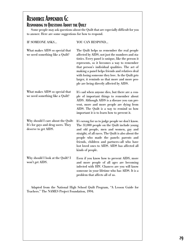# Resource Appendix G: Responding to Questions About the Quilt

Some people may ask questions about the Quilt that are especially difficult for you to answer. Here are some suggestions for how to respond.

| IF SOMEONE ASKS                                                                                  | YOU CAN RESPOND                                                                                                                                                                                                                                                                                                                                                                                                                                           |
|--------------------------------------------------------------------------------------------------|-----------------------------------------------------------------------------------------------------------------------------------------------------------------------------------------------------------------------------------------------------------------------------------------------------------------------------------------------------------------------------------------------------------------------------------------------------------|
| What makes AIDS so special that<br>we need something like a Quilt?                               | The Quilt helps us remember the real people<br>affected by AIDS, not just the numbers and sta-<br>tistics. Every panel is unique, like the person it<br>represents, so it becomes a way to remember<br>that person's individual qualities. The act of<br>making a panel helps friends and relatives deal<br>with losing someone they love. As the Quilt gets<br>larger, it reminds us that more and more peo-<br>ple are being directly affected by AIDS. |
| What makes AIDS so special that<br>we need something like a Quilt?                               | It's sad when anyone dies, but there are a cou-<br>ple of important things to remember about<br>AIDS. Although AIDS is a disease you can pre-<br>vent, more and more people are dying from<br>AIDS. The Quilt is a way to remind us how<br>important it is to learn how to prevent it.                                                                                                                                                                    |
| Why should I care about the Quilt:<br>It's for gays and drug users. They<br>deserve to get AIDS. | It's wrong for us to judge people we don't know.<br>The 31,000 people on the Quilt include young<br>and old people, men and women, gay and<br>straight, of all races. The Quilt is also about the<br>people who made the panels: parents and<br>friends, children and partners-all who have<br>lost loved ones to AIDS. AIDS has affected all<br>kinds of people.                                                                                         |
| Why should I look at the Quilt? I<br>won't get AIDS.                                             | Even if you know how to prevent AIDS, more<br>and more people of all ages are becoming<br>infected with HIV. Chances are you will know<br>someone in your lifetime who has AIDS. It is a<br>problem that affects all of us.                                                                                                                                                                                                                               |

Adapted from the National High School Quilt Program, "A Lesson Guide for Teachers." The NAMES Project Foundation, 1994.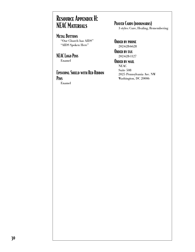# Resource Appendix H: **NEAC MATERIALS**

#### **METAL BUTTONS** "Our Church has AIDS" "AIDS Spoken Here"

#### NEAC Logo Pins Enamel

# Episcopal Shield with Red Ribbon Pins

Enamel

### PRAYER CARDS (BOOKMARKS)

3 styles: Cure, Healing, Remembering

#### ORDER BY PHONE 202-628-6628

ORDER BY FAX 202-628-1127

### ORDER BY MAIL

NEAC Suite 508 2025 Pennsylvania Ave. NW Washington, DC 20006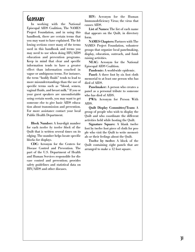### **GLOSSARY**

In working with the National Episcopal AIDS Coalition, The NAMES Project Foundation, and in using this handbook, there are certain terms that you may want to have explained. The following sections cover many of the terms used in this handbook and terms you may need to use when doing HIV/AIDS education and prevention programs. Keep in mind that clear and specific information tends to have a greater effect than information couched in vague or ambiguous terms. For instance, the term "bodily fluids" tends to lead to more misunderstandings than the use of specific terms such as "blood, semen, vaginal fluids, and breast milk." If you or your guest speakers are uncomfortable using certain words, you may want to get someone else to give basic AIDS education about transmission and prevention. For more assistance contact your local Public Health Department.

**Block Number:** A four-digit number for each *twelve by twelve block* of the Quilt that is written several times on its edging. The number helps locate specific blocks for displays.

**CDC:** Acronym for the Centers for Disease Control and Prevention. The part of the U.S. Department of Health and Human Services responsible for disease control and prevention; provides safety guidelines and statistical data on HIV/AIDS and other diseases.

**HIV:** Acronym for the Human Immunodeficiency Virus; the virus that causes AIDS.

**List of Names:** The list of each name that appears on the Quilt, in directory form.

**NAMES Chapters:** Partners with The NAMES Project Foundation, volunteer groups that organize local panelmaking, display, education, outreach, and fundraising activities.

**NEAC:** Acronym for the National Episcopal AIDS Coalition.

**Pandemic:** A world-wide epidemic.

**Panel:** A three foot by six foot cloth memorial to at least one person who has died of AIDS.

**Panelmaker:** A person who creates a panel as a personal tribute to someone who has died of AIDS.

**PWA:** Acronym for Person With AIDS.

**Quilt Display Committee/Team:** A group of people who wish to display the Quilt and who coordinate the different activities held while hosting the Quilt.

**Signature Square:** A blank twelve foot by twelve foot piece of cloth for people who visit the Quilt to write memorials or their feelings about the Quilt.

**Twelve by twelve:** A block of the Quilt containing eight panels that are arranged to make a 12 foot square.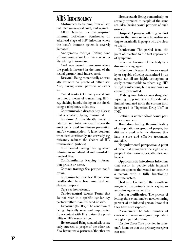# AIDS Terminology

**Abstinence:** Refraining from all sexual intercourse—oral, anal, and vaginal.

**AIDS:** Acronym for the Acquired Immune Deficiency Syndrome; an advanced stage of HIV infection where the body's immune system is severely damaged.

**Anonymous testing:** Testing done without connection to a name or other identifying information.

**Anal sex:** Sexual intercourse where the penis is inserted in the anus of the sexual partner (anal intercourse).

**Bisexual:** Being romantically or sexually attracted to people of either sex. Also, having sexual partners of either sex.

**Casual contact:** Ordinary social contact, not a means of transmitting HIV e.g. shaking hands, kissing on the cheek, using a telephone, toilet, etc.

**Communicable disease:** Any disease that is capable of being transmitted.

**Condom:** A thin sheath, made of latex or lamb intestine, that fits over the erect penis used for disease prevention and/or contraception. A latex condom, when used consistently and correctly, significantly reduces the chance of HIV transmission. (rubber)

**Confidential testing:** Testing which is linked to an individual and recorded in medical files.

**Confidentiality:** Keeping information private or secret.

**Contact tracing:** See partner notification.

**Contaminated needles:** Hypodermic needles that have been used and not cleaned properly.

**Gay:** See homosexual.

**Gender-neutral terms:** Terms that do not refer to a specific gender—e.g. partner rather than husband or wife.

**Exposure (to HIV):** The condition of being physically near and unprotected from contact with HIV; raises the possibility of HIV transmission.

**Heterosexual:**Being romantically or sexually attracted to people of the other sex. Also, having sexual partners of the other sex.

**Homosexual:** Being romantically or sexually attracted to people of the same sex. Also, having sexual partners of one's own sex.

**Hospice:** A program offering comfort care in the home or in a home-like setting to terminally ill people who are close to death.

**Incubation:** The period from the point of infection to the first appearance of symptoms.

**Infection:** Invasion of the body by a disease causing agent.

**Infectious disease:** A disease caused by or capable of being transmitted by an agent; not all are highly contagious or easily communicable to others—e.g. HIV is highly infectious, but is not easily or casually transmitted.

**IV drug use:** Intravenous drug use; injecting drugs into a vein. Considered a limited, outdated term; the current term being used is "Injection Drug Use" or IDU.

**Lesbian:** A woman whose sexual partners are women.

**Mandatory testing:** Required testing of a population or group of people; traditionally used only for diseases that have a cure and effective treatments available.

**Nonjudgmental perspective:** A point of view that recognizes the right of all people to their own values, attitudes, and beliefs.

**Opportunistic infections:** Infections that occur in people with impaired immune systems that would not occur in a person with a fully functioning immune system.

**Oral sex:** Contact of the mouth or tongue with a partner's penis, vagina, or anus during sexual activity.

**Partner notification:** The process of letting the sexual and/or needle-sharing partner of an infected person know that they have been exposed.

**Prevalence:** The total number of cases of a disease in a given population in a given period of time.

**Respite Care:** Care provided in someone's home so that the primary caregiver can rest.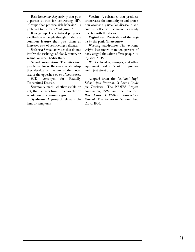**Risk behavior:** Any activity that puts a person at risk for contracting HIV. "Groups that practice risk behavior" is preferred to the term "risk group".

**Risk group:** For statistical purposes, a collection of people thought to share a common feature that puts them at increased risk of contracting a disease.

**Safe sex:** Sexual activities that do not involve the exchange of blood, semen, or vaginal or other bodily fluids.

**Sexual orientation:** The attraction people feel for or the erotic relationship they develop with others of their own sex, of the opposite sex, or of both sexes.

**STD:** Acronym for Sexually Transmitted Disease.

**Stigma:** A mark, whether visible or not, that detracts from the character or reputation of a person or group.

**Syndrome:** A group of related problems or symptoms.

**Vaccine:** A substance that produces or increases the immunity to and protection against a particular disease; a vaccine is ineffective if someone is already infected with the disease.

**Vaginal sex:** Penetration of the vagina by the penis (intercourse).

**Wasting syndrome:** The extreme weight loss (more than ten percent of body weight) that often affects people living with AIDS.

**Works:** Needles, syringes, and other equipment used to "cook" or prepare and inject street drugs.

Adapted from the *National High School Quilt Program*, *"A Lesson Guide for Teachers."* The NAMES Project Foundation, 1994, and the *American Red Cross HIV/AIDS Instructor's Manual.* The American National Red Cross, 1990.